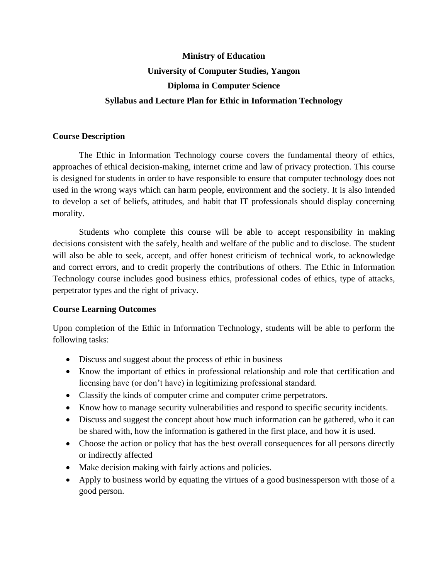# **Ministry of Education University of Computer Studies, Yangon Diploma in Computer Science Syllabus and Lecture Plan for Ethic in Information Technology**

#### **Course Description**

The Ethic in Information Technology course covers the fundamental theory of ethics, approaches of ethical decision-making, internet crime and law of privacy protection. This course is designed for students in order to have responsible to ensure that computer technology does not used in the wrong ways which can harm people, environment and the society. It is also intended to develop a set of beliefs, attitudes, and habit that IT professionals should display concerning morality.

Students who complete this course will be able to accept responsibility in making decisions consistent with the safely, health and welfare of the public and to disclose. The student will also be able to seek, accept, and offer honest criticism of technical work, to acknowledge and correct errors, and to credit properly the contributions of others. The Ethic in Information Technology course includes good business ethics, professional codes of ethics, type of attacks, perpetrator types and the right of privacy.

### **Course Learning Outcomes**

Upon completion of the Ethic in Information Technology, students will be able to perform the following tasks:

- Discuss and suggest about the process of ethic in business
- Know the important of ethics in professional relationship and role that certification and licensing have (or don't have) in legitimizing professional standard.
- Classify the kinds of computer crime and computer crime perpetrators.
- Know how to manage security vulnerabilities and respond to specific security incidents.
- Discuss and suggest the concept about how much information can be gathered, who it can be shared with, how the information is gathered in the first place, and how it is used.
- Choose the action or policy that has the best overall consequences for all persons directly or indirectly affected
- Make decision making with fairly actions and policies.
- Apply to business world by equating the virtues of a good businessperson with those of a good person.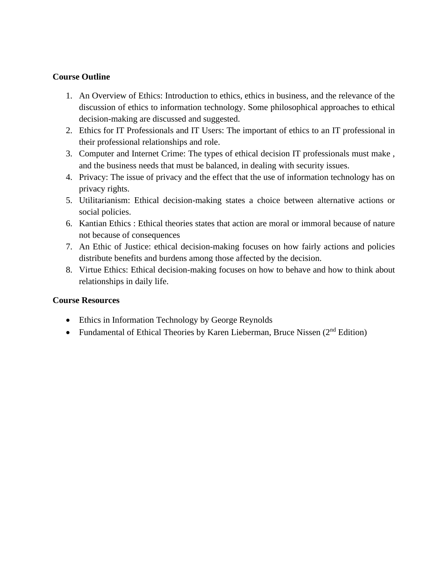### **Course Outline**

- 1. An Overview of Ethics: Introduction to ethics, ethics in business, and the relevance of the discussion of ethics to information technology. Some philosophical approaches to ethical decision-making are discussed and suggested.
- 2. Ethics for IT Professionals and IT Users: The important of ethics to an IT professional in their professional relationships and role.
- 3. Computer and Internet Crime: The types of ethical decision IT professionals must make , and the business needs that must be balanced, in dealing with security issues.
- 4. Privacy: The issue of privacy and the effect that the use of information technology has on privacy rights.
- 5. Utilitarianism: Ethical decision-making states a choice between alternative actions or social policies.
- 6. Kantian Ethics : Ethical theories states that action are moral or immoral because of nature not because of consequences
- 7. An Ethic of Justice: ethical decision-making focuses on how fairly actions and policies distribute benefits and burdens among those affected by the decision.
- 8. Virtue Ethics: Ethical decision-making focuses on how to behave and how to think about relationships in daily life.

### **Course Resources**

- Ethics in Information Technology by George Reynolds
- Fundamental of Ethical Theories by Karen Lieberman, Bruce Nissen  $(2<sup>nd</sup> Edition)$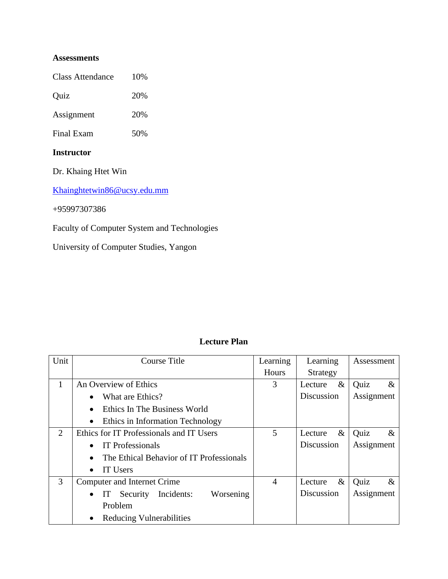### **Assessments**

Class Attendance 10%

Quiz 20%

Assignment 20%

Final Exam 50%

### **Instructor**

Dr. Khaing Htet Win

[Khainghtetwin86@ucsy.edu.mm](mailto:Khainghtetwin86@ucsy.edu.mm)

+95997307386

Faculty of Computer System and Technologies

University of Computer Studies, Yangon

## **Lecture Plan**

| Unit | <b>Course Title</b>                                 | Learning       | Learning        | Assessment   |
|------|-----------------------------------------------------|----------------|-----------------|--------------|
|      |                                                     | Hours          | Strategy        |              |
| 1    | An Overview of Ethics                               | 3              | $\&$<br>Lecture | Quiz<br>$\&$ |
|      | What are Ethics?                                    |                | Discussion      | Assignment   |
|      | Ethics In The Business World                        |                |                 |              |
|      | Ethics in Information Technology<br>٠               |                |                 |              |
| 2    | Ethics for IT Professionals and IT Users            | 5              | $\&$<br>Lecture | $\&$<br>Quiz |
|      | <b>IT Professionals</b>                             |                | Discussion      | Assignment   |
|      | The Ethical Behavior of IT Professionals            |                |                 |              |
|      | IT Users                                            |                |                 |              |
| 3    | Computer and Internet Crime                         | $\overline{4}$ | $\&$<br>Lecture | Quiz<br>$\&$ |
|      | Security Incidents:<br>Worsening<br>IT<br>$\bullet$ |                | Discussion      | Assignment   |
|      | Problem                                             |                |                 |              |
|      | Reducing Vulnerabilities                            |                |                 |              |